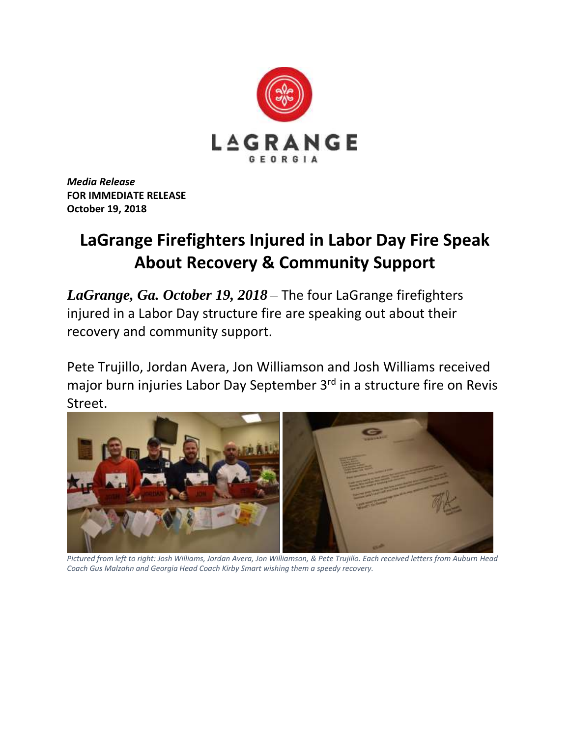

*Media Release* **FOR IMMEDIATE RELEASE October 19, 2018**

## **LaGrange Firefighters Injured in Labor Day Fire Speak About Recovery & Community Support**

*LaGrange, Ga. October 19, 2018* – The four LaGrange firefighters injured in a Labor Day structure fire are speaking out about their recovery and community support.

Pete Trujillo, Jordan Avera, Jon Williamson and Josh Williams received major burn injuries Labor Day September 3<sup>rd</sup> in a structure fire on Revis Street.



*Pictured from left to right: Josh Williams, Jordan Avera, Jon Williamson, & Pete Trujillo. Each received letters from Auburn Head Coach Gus Malzahn and Georgia Head Coach Kirby Smart wishing them a speedy recovery.*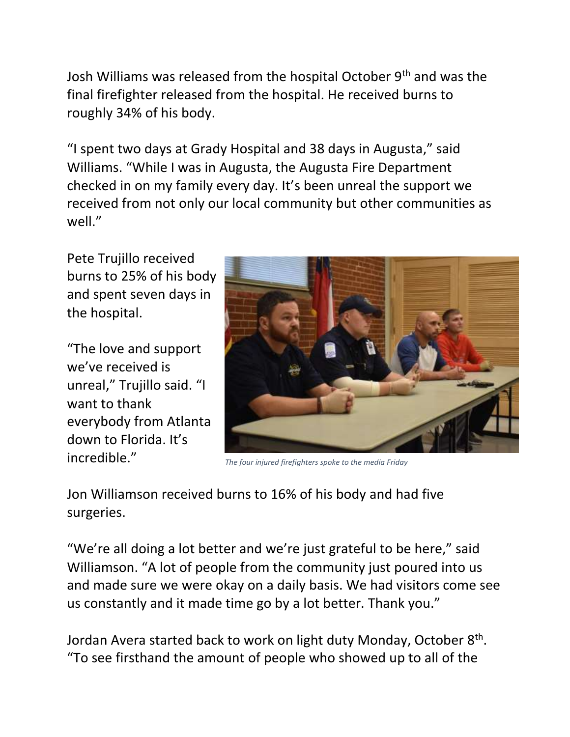Josh Williams was released from the hospital October 9th and was the final firefighter released from the hospital. He received burns to roughly 34% of his body.

"I spent two days at Grady Hospital and 38 days in Augusta," said Williams. "While I was in Augusta, the Augusta Fire Department checked in on my family every day. It's been unreal the support we received from not only our local community but other communities as well."

Pete Trujillo received burns to 25% of his body and spent seven days in the hospital.

"The love and support we've received is unreal," Trujillo said. "I want to thank everybody from Atlanta down to Florida. It's incredible."



*The four injured firefighters spoke to the media Friday*

Jon Williamson received burns to 16% of his body and had five surgeries.

"We're all doing a lot better and we're just grateful to be here," said Williamson. "A lot of people from the community just poured into us and made sure we were okay on a daily basis. We had visitors come see us constantly and it made time go by a lot better. Thank you."

Jordan Avera started back to work on light duty Monday, October 8<sup>th</sup>. "To see firsthand the amount of people who showed up to all of the